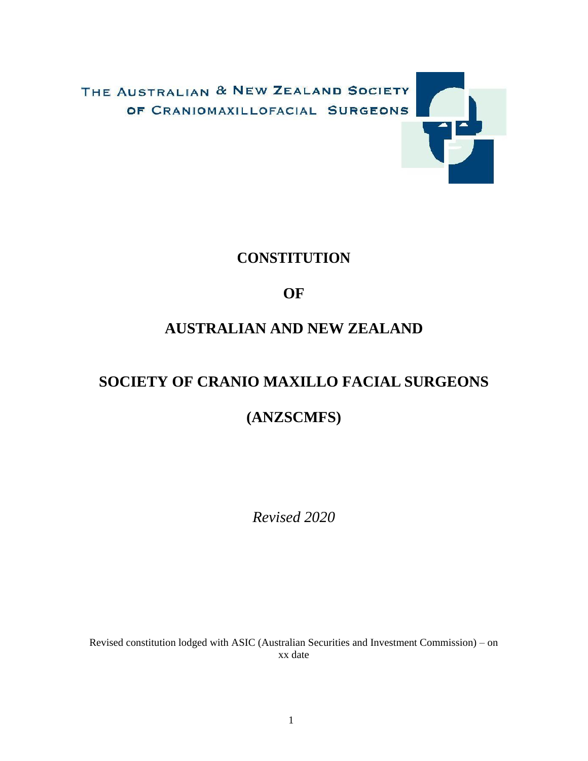

# **CONSTITUTION**

# **OF**

# **AUSTRALIAN AND NEW ZEALAND**

# **SOCIETY OF CRANIO MAXILLO FACIAL SURGEONS**

# **(ANZSCMFS)**

*Revised 2020*

Revised constitution lodged with ASIC (Australian Securities and Investment Commission) – on xx date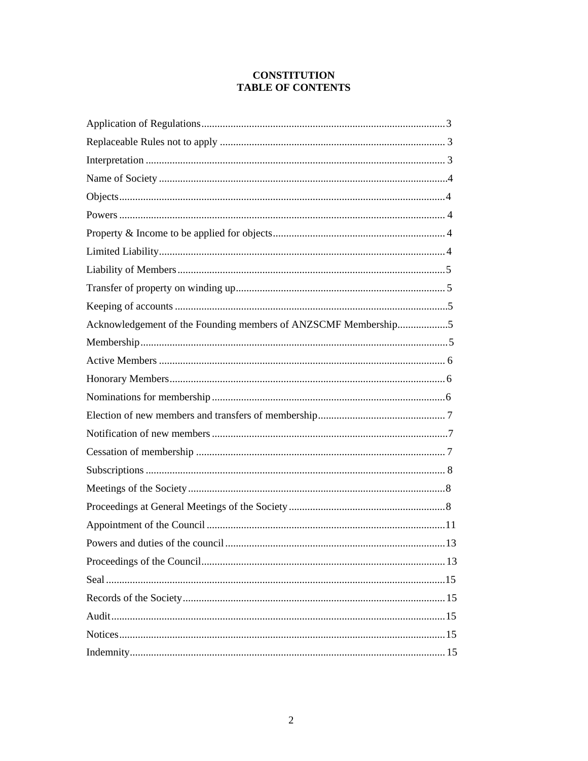# **CONSTITUTION TABLE OF CONTENTS**

| Acknowledgement of the Founding members of ANZSCMF Membership5 |
|----------------------------------------------------------------|
|                                                                |
|                                                                |
|                                                                |
|                                                                |
|                                                                |
|                                                                |
|                                                                |
|                                                                |
|                                                                |
|                                                                |
|                                                                |
|                                                                |
|                                                                |
|                                                                |
|                                                                |
|                                                                |
|                                                                |
|                                                                |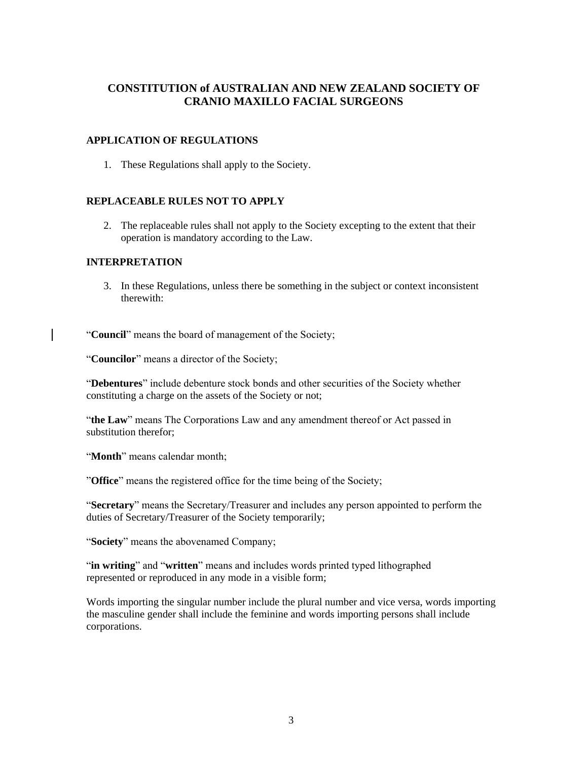# **CONSTITUTION of AUSTRALIAN AND NEW ZEALAND SOCIETY OF CRANIO MAXILLO FACIAL SURGEONS**

#### <span id="page-2-0"></span>**APPLICATION OF REGULATIONS**

1. These Regulations shall apply to the Society.

#### <span id="page-2-1"></span>**REPLACEABLE RULES NOT TO APPLY**

2. The replaceable rules shall not apply to the Society excepting to the extent that their operation is mandatory according to the Law.

#### <span id="page-2-2"></span>**INTERPRETATION**

3. In these Regulations, unless there be something in the subject or context inconsistent therewith:

"**Council**" means the board of management of the Society;

"**Councilor**" means a director of the Society;

"**Debentures**" include debenture stock bonds and other securities of the Society whether constituting a charge on the assets of the Society or not;

"**the Law**" means The Corporations Law and any amendment thereof or Act passed in substitution therefor;

"**Month**" means calendar month;

"**Office**" means the registered office for the time being of the Society;

"**Secretary**" means the Secretary/Treasurer and includes any person appointed to perform the duties of Secretary/Treasurer of the Society temporarily;

"**Society**" means the abovenamed Company;

"**in writing**" and "**written**" means and includes words printed typed lithographed represented or reproduced in any mode in a visible form;

Words importing the singular number include the plural number and vice versa, words importing the masculine gender shall include the feminine and words importing persons shall include corporations.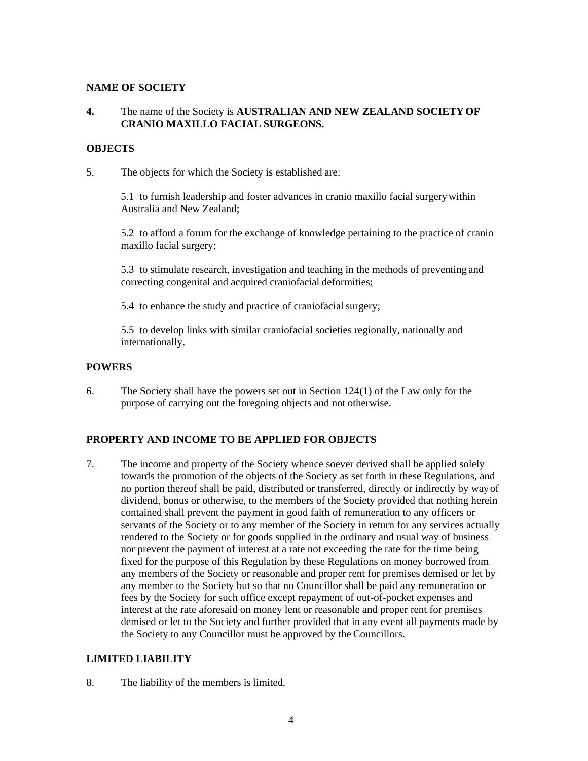#### <span id="page-3-0"></span>**NAME OF SOCIETY**

# **4.** The name of the Society is **AUSTRALIAN AND NEW ZEALAND SOCIETYOF CRANIO MAXILLO FACIAL SURGEONS.**

# <span id="page-3-1"></span>**OBJECTS**

5. The objects for which the Society is established are:

5.1 to furnish leadership and foster advances in cranio maxillo facial surgerywithin Australia and New Zealand;

5.2 to afford a forum for the exchange of knowledge pertaining to the practice of cranio maxillo facial surgery;

5.3 to stimulate research, investigation and teaching in the methods of preventing and correcting congenital and acquired craniofacial deformities;

5.4 to enhance the study and practice of craniofacial surgery;

5.5 to develop links with similar craniofacial societies regionally, nationally and internationally.

#### <span id="page-3-2"></span>**POWERS**

6. The Society shall have the powers set out in Section 124(1) of the Law only for the purpose of carrying out the foregoing objects and not otherwise.

# **PROPERTY AND INCOME TO BE APPLIED FOR OBJECTS**

7. The income and property of the Society whence soever derived shall be applied solely towards the promotion of the objects of the Society as set forth in these Regulations, and no portion thereof shall be paid, distributed or transferred, directly or indirectly by wayof dividend, bonus or otherwise, to the members of the Society provided that nothing herein contained shall prevent the payment in good faith of remuneration to any officers or servants of the Society or to any member of the Society in return for any services actually rendered to the Society or for goods supplied in the ordinary and usual way of business nor prevent the payment of interest at a rate not exceeding the rate for the time being fixed for the purpose of this Regulation by these Regulations on money borrowed from any members of the Society or reasonable and proper rent for premises demised or let by any member to the Society but so that no Councillor shall be paid any remuneration or fees by the Society for such office except repayment of out-of-pocket expenses and interest at the rate aforesaid on money lent or reasonable and proper rent for premises demised or let to the Society and further provided that in any event all payments made by the Society to any Councillor must be approved by the Councillors.

# <span id="page-3-3"></span>**LIMITED LIABILITY**

8. The liability of the members is limited.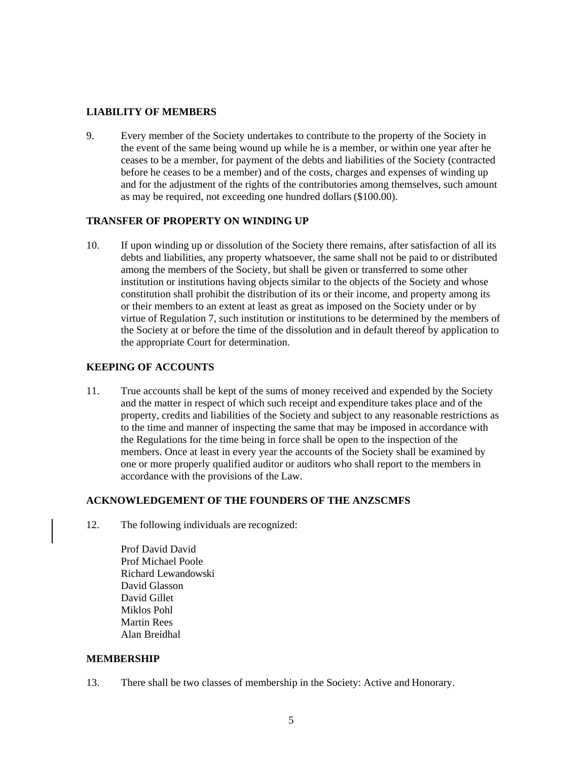#### <span id="page-4-0"></span>**LIABILITY OF MEMBERS**

9. Every member of the Society undertakes to contribute to the property of the Society in the event of the same being wound up while he is a member, or within one year after he ceases to be a member, for payment of the debts and liabilities of the Society (contracted before he ceases to be a member) and of the costs, charges and expenses of winding up and for the adjustment of the rights of the contributories among themselves, such amount as may be required, not exceeding one hundred dollars (\$100.00).

#### <span id="page-4-1"></span>**TRANSFER OF PROPERTY ON WINDING UP**

10. If upon winding up or dissolution of the Society there remains, after satisfaction of all its debts and liabilities, any property whatsoever, the same shall not be paid to or distributed among the members of the Society, but shall be given or transferred to some other institution or institutions having objects similar to the objects of the Society and whose constitution shall prohibit the distribution of its or their income, and property among its or their members to an extent at least as great as imposed on the Society under or by virtue of Regulation 7, such institution or institutions to be determined by the members of the Society at or before the time of the dissolution and in default thereof by application to the appropriate Court for determination.

#### <span id="page-4-2"></span>**KEEPING OF ACCOUNTS**

11. True accounts shall be kept of the sums of money received and expended by the Society and the matter in respect of which such receipt and expenditure takes place and of the property, credits and liabilities of the Society and subject to any reasonable restrictions as to the time and manner of inspecting the same that may be imposed in accordance with the Regulations for the time being in force shall be open to the inspection of the members. Once at least in every year the accounts of the Society shall be examined by one or more properly qualified auditor or auditors who shall report to the members in accordance with the provisions of the Law.

#### **ACKNOWLEDGEMENT OF THE FOUNDERS OF THE ANZSCMFS**

- 12. The following individuals are recognized:
	- Prof David David Prof Michael Poole Richard Lewandowski David Glasson David Gillet Miklos Pohl Martin Rees Alan Breidhal

#### <span id="page-4-3"></span>**MEMBERSHIP**

13. There shall be two classes of membership in the Society: Active and Honorary.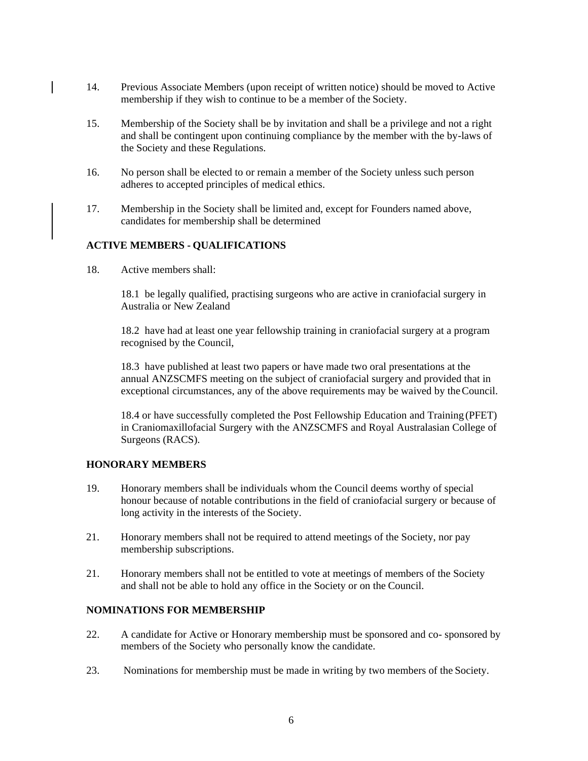- 14. Previous Associate Members (upon receipt of written notice) should be moved to Active membership if they wish to continue to be a member of the Society.
- 15. Membership of the Society shall be by invitation and shall be a privilege and not a right and shall be contingent upon continuing compliance by the member with the by-laws of the Society and these Regulations.
- 16. No person shall be elected to or remain a member of the Society unless such person adheres to accepted principles of medical ethics.
- 17. Membership in the Society shall be limited and, except for Founders named above, candidates for membership shall be determined

#### **ACTIVE MEMBERS - QUALIFICATIONS**

18. Active members shall:

18.1 be legally qualified, practising surgeons who are active in craniofacial surgery in Australia or New Zealand

18.2 have had at least one year fellowship training in craniofacial surgery at a program recognised by the Council,

18.3 have published at least two papers or have made two oral presentations at the annual ANZSCMFS meeting on the subject of craniofacial surgery and provided that in exceptional circumstances, any of the above requirements may be waived by theCouncil.

18.4 or have successfully completed the Post Fellowship Education and Training (PFET) in Craniomaxillofacial Surgery with the ANZSCMFS and Royal Australasian College of Surgeons (RACS).

#### <span id="page-5-0"></span>**HONORARY MEMBERS**

- 19. Honorary members shall be individuals whom the Council deems worthy of special honour because of notable contributions in the field of craniofacial surgery or because of long activity in the interests of the Society.
- 21. Honorary members shall not be required to attend meetings of the Society, nor pay membership subscriptions.
- 21. Honorary members shall not be entitled to vote at meetings of members of the Society and shall not be able to hold any office in the Society or on the Council.

#### <span id="page-5-1"></span>**NOMINATIONS FOR MEMBERSHIP**

- 22. A candidate for Active or Honorary membership must be sponsored and co- sponsored by members of the Society who personally know the candidate.
- 23. Nominations for membership must be made in writing by two members of the Society.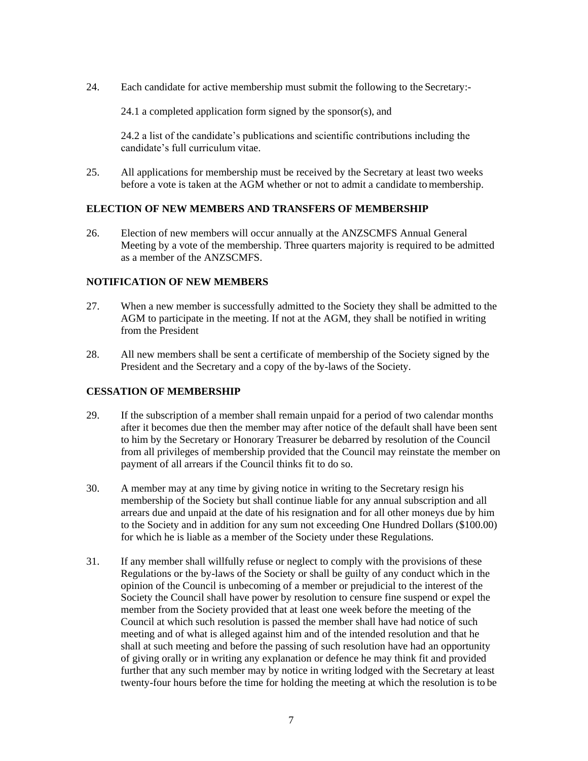24. Each candidate for active membership must submit the following to the Secretary:-

24.1 a completed application form signed by the sponsor(s), and

24.2 a list of the candidate's publications and scientific contributions including the candidate's full curriculum vitae.

25. All applications for membership must be received by the Secretary at least two weeks before a vote is taken at the AGM whether or not to admit a candidate to membership.

#### <span id="page-6-0"></span>**ELECTION OF NEW MEMBERS AND TRANSFERS OF MEMBERSHIP**

26. Election of new members will occur annually at the ANZSCMFS Annual General Meeting by a vote of the membership. Three quarters majority is required to be admitted as a member of the ANZSCMFS.

#### <span id="page-6-1"></span>**NOTIFICATION OF NEW MEMBERS**

- 27. When a new member is successfully admitted to the Society they shall be admitted to the AGM to participate in the meeting. If not at the AGM, they shall be notified in writing from the President
- 28. All new members shall be sent a certificate of membership of the Society signed by the President and the Secretary and a copy of the by-laws of the Society.

# <span id="page-6-2"></span>**CESSATION OF MEMBERSHIP**

- 29. If the subscription of a member shall remain unpaid for a period of two calendar months after it becomes due then the member may after notice of the default shall have been sent to him by the Secretary or Honorary Treasurer be debarred by resolution of the Council from all privileges of membership provided that the Council may reinstate the member on payment of all arrears if the Council thinks fit to do so.
- 30. A member may at any time by giving notice in writing to the Secretary resign his membership of the Society but shall continue liable for any annual subscription and all arrears due and unpaid at the date of his resignation and for all other moneys due by him to the Society and in addition for any sum not exceeding One Hundred Dollars (\$100.00) for which he is liable as a member of the Society under these Regulations.
- 31. If any member shall willfully refuse or neglect to comply with the provisions of these Regulations or the by-laws of the Society or shall be guilty of any conduct which in the opinion of the Council is unbecoming of a member or prejudicial to the interest of the Society the Council shall have power by resolution to censure fine suspend or expel the member from the Society provided that at least one week before the meeting of the Council at which such resolution is passed the member shall have had notice of such meeting and of what is alleged against him and of the intended resolution and that he shall at such meeting and before the passing of such resolution have had an opportunity of giving orally or in writing any explanation or defence he may think fit and provided further that any such member may by notice in writing lodged with the Secretary at least twenty-four hours before the time for holding the meeting at which the resolution is to be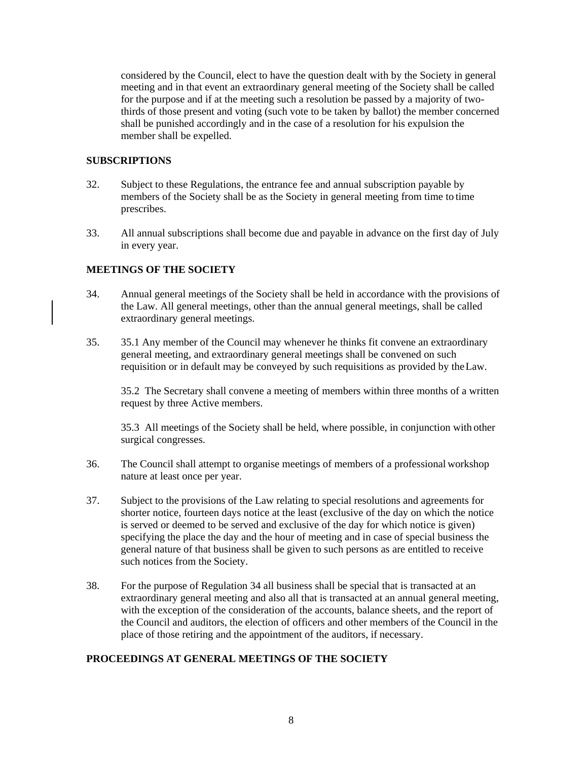considered by the Council, elect to have the question dealt with by the Society in general meeting and in that event an extraordinary general meeting of the Society shall be called for the purpose and if at the meeting such a resolution be passed by a majority of twothirds of those present and voting (such vote to be taken by ballot) the member concerned shall be punished accordingly and in the case of a resolution for his expulsion the member shall be expelled.

#### <span id="page-7-0"></span>**SUBSCRIPTIONS**

- 32. Subject to these Regulations, the entrance fee and annual subscription payable by members of the Society shall be as the Society in general meeting from time to time prescribes.
- 33. All annual subscriptions shall become due and payable in advance on the first day of July in every year.

# <span id="page-7-1"></span>**MEETINGS OF THE SOCIETY**

- 34. Annual general meetings of the Society shall be held in accordance with the provisions of the Law. All general meetings, other than the annual general meetings, shall be called extraordinary general meetings.
- 35. 35.1 Any member of the Council may whenever he thinks fit convene an extraordinary general meeting, and extraordinary general meetings shall be convened on such requisition or in default may be conveyed by such requisitions as provided by theLaw.

35.2 The Secretary shall convene a meeting of members within three months of a written request by three Active members.

35.3 All meetings of the Society shall be held, where possible, in conjunction with other surgical congresses.

- 36. The Council shall attempt to organise meetings of members of a professional workshop nature at least once per year.
- 37. Subject to the provisions of the Law relating to special resolutions and agreements for shorter notice, fourteen days notice at the least (exclusive of the day on which the notice is served or deemed to be served and exclusive of the day for which notice is given) specifying the place the day and the hour of meeting and in case of special business the general nature of that business shall be given to such persons as are entitled to receive such notices from the Society.
- 38. For the purpose of Regulation 34 all business shall be special that is transacted at an extraordinary general meeting and also all that is transacted at an annual general meeting, with the exception of the consideration of the accounts, balance sheets, and the report of the Council and auditors, the election of officers and other members of the Council in the place of those retiring and the appointment of the auditors, if necessary.

#### <span id="page-7-2"></span>**PROCEEDINGS AT GENERAL MEETINGS OF THE SOCIETY**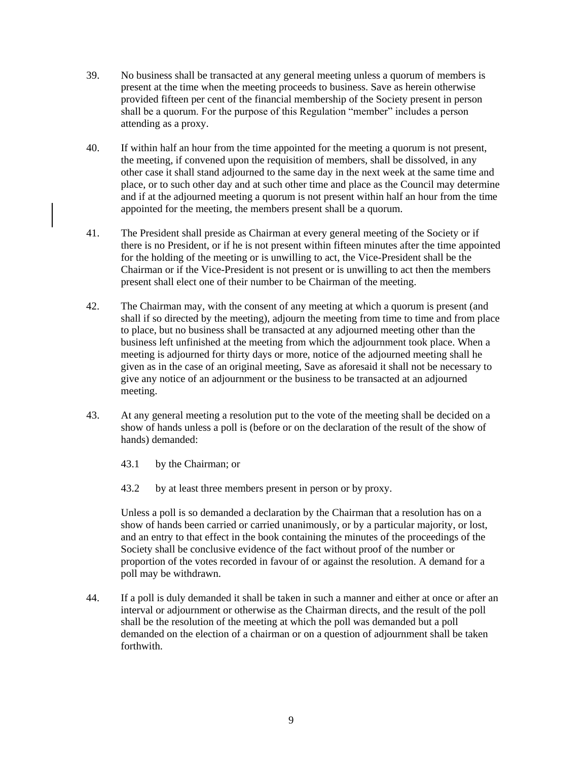- 39. No business shall be transacted at any general meeting unless a quorum of members is present at the time when the meeting proceeds to business. Save as herein otherwise provided fifteen per cent of the financial membership of the Society present in person shall be a quorum. For the purpose of this Regulation "member" includes a person attending as a proxy.
- 40. If within half an hour from the time appointed for the meeting a quorum is not present, the meeting, if convened upon the requisition of members, shall be dissolved, in any other case it shall stand adjourned to the same day in the next week at the same time and place, or to such other day and at such other time and place as the Council may determine and if at the adjourned meeting a quorum is not present within half an hour from the time appointed for the meeting, the members present shall be a quorum.
- 41. The President shall preside as Chairman at every general meeting of the Society or if there is no President, or if he is not present within fifteen minutes after the time appointed for the holding of the meeting or is unwilling to act, the Vice-President shall be the Chairman or if the Vice-President is not present or is unwilling to act then the members present shall elect one of their number to be Chairman of the meeting.
- 42. The Chairman may, with the consent of any meeting at which a quorum is present (and shall if so directed by the meeting), adjourn the meeting from time to time and from place to place, but no business shall be transacted at any adjourned meeting other than the business left unfinished at the meeting from which the adjournment took place. When a meeting is adjourned for thirty days or more, notice of the adjourned meeting shall he given as in the case of an original meeting, Save as aforesaid it shall not be necessary to give any notice of an adjournment or the business to be transacted at an adjourned meeting.
- 43. At any general meeting a resolution put to the vote of the meeting shall be decided on a show of hands unless a poll is (before or on the declaration of the result of the show of hands) demanded:
	- 43.1 by the Chairman; or
	- 43.2 by at least three members present in person or by proxy.

Unless a poll is so demanded a declaration by the Chairman that a resolution has on a show of hands been carried or carried unanimously, or by a particular majority, or lost, and an entry to that effect in the book containing the minutes of the proceedings of the Society shall be conclusive evidence of the fact without proof of the number or proportion of the votes recorded in favour of or against the resolution. A demand for a poll may be withdrawn.

44. If a poll is duly demanded it shall be taken in such a manner and either at once or after an interval or adjournment or otherwise as the Chairman directs, and the result of the poll shall be the resolution of the meeting at which the poll was demanded but a poll demanded on the election of a chairman or on a question of adjournment shall be taken forthwith.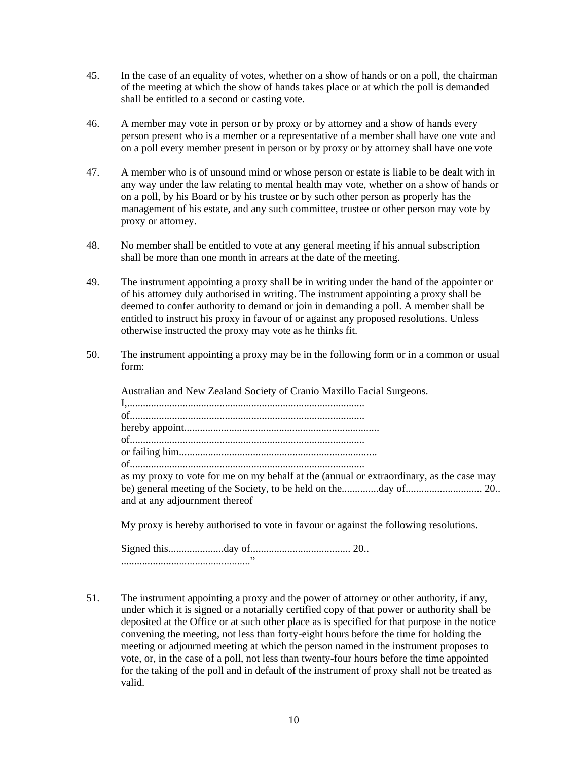- 45. In the case of an equality of votes, whether on a show of hands or on a poll, the chairman of the meeting at which the show of hands takes place or at which the poll is demanded shall be entitled to a second or casting vote.
- 46. A member may vote in person or by proxy or by attorney and a show of hands every person present who is a member or a representative of a member shall have one vote and on a poll every member present in person or by proxy or by attorney shall have one vote
- 47. A member who is of unsound mind or whose person or estate is liable to be dealt with in any way under the law relating to mental health may vote, whether on a show of hands or on a poll, by his Board or by his trustee or by such other person as properly has the management of his estate, and any such committee, trustee or other person may vote by proxy or attorney.
- 48. No member shall be entitled to vote at any general meeting if his annual subscription shall be more than one month in arrears at the date of the meeting.
- 49. The instrument appointing a proxy shall be in writing under the hand of the appointer or of his attorney duly authorised in writing. The instrument appointing a proxy shall be deemed to confer authority to demand or join in demanding a poll. A member shall be entitled to instruct his proxy in favour of or against any proposed resolutions. Unless otherwise instructed the proxy may vote as he thinks fit.
- 50. The instrument appointing a proxy may be in the following form or in a common or usual form:

Australian and New Zealand Society of Cranio Maxillo Facial Surgeons.

I,.......................................................................................... of......................................................................................... hereby appoint.......................................................................... of......................................................................................... or failing him........................................................................... of......................................................................................... as my proxy to vote for me on my behalf at the (annual or extraordinary, as the case may be) general meeting of the Society, to be held on the..............day of............................. 20.. and at any adjournment thereof

My proxy is hereby authorised to vote in favour or against the following resolutions.

Signed this.....................day of...................................... 20.. ................................................."

51. The instrument appointing a proxy and the power of attorney or other authority, if any, under which it is signed or a notarially certified copy of that power or authority shall be deposited at the Office or at such other place as is specified for that purpose in the notice convening the meeting, not less than forty-eight hours before the time for holding the meeting or adjourned meeting at which the person named in the instrument proposes to vote, or, in the case of a poll, not less than twenty-four hours before the time appointed for the taking of the poll and in default of the instrument of proxy shall not be treated as valid.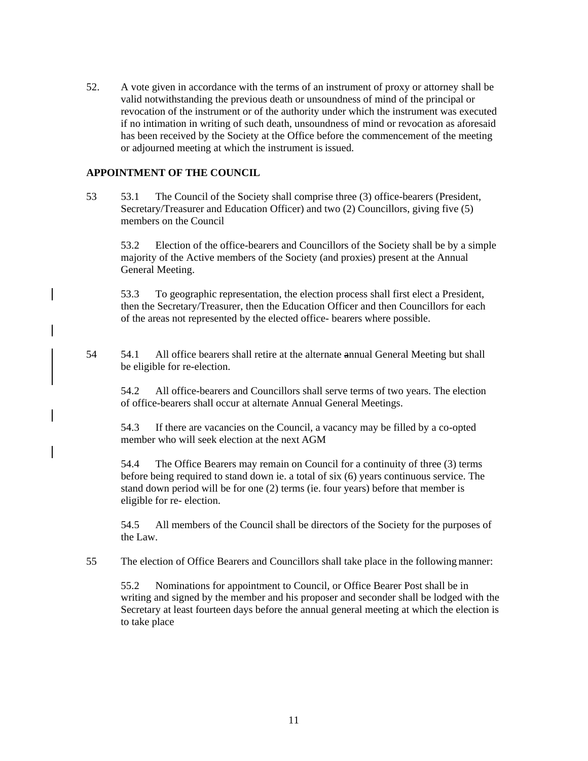52. A vote given in accordance with the terms of an instrument of proxy or attorney shall be valid notwithstanding the previous death or unsoundness of mind of the principal or revocation of the instrument or of the authority under which the instrument was executed if no intimation in writing of such death, unsoundness of mind or revocation as aforesaid has been received by the Society at the Office before the commencement of the meeting or adjourned meeting at which the instrument is issued.

#### <span id="page-10-0"></span>**APPOINTMENT OF THE COUNCIL**

53 53.1 The Council of the Society shall comprise three (3) office-bearers (President, Secretary/Treasurer and Education Officer) and two (2) Councillors, giving five (5) members on the Council

53.2 Election of the office-bearers and Councillors of the Society shall be by a simple majority of the Active members of the Society (and proxies) present at the Annual General Meeting.

53.3 To geographic representation, the election process shall first elect a President, then the Secretary/Treasurer, then the Education Officer and then Councillors for each of the areas not represented by the elected office- bearers where possible.

54 54.1 All office bearers shall retire at the alternate annual General Meeting but shall be eligible for re-election.

54.2 All office-bearers and Councillors shall serve terms of two years. The election of office-bearers shall occur at alternate Annual General Meetings.

54.3 If there are vacancies on the Council, a vacancy may be filled by a co-opted member who will seek election at the next AGM

54.4 The Office Bearers may remain on Council for a continuity of three (3) terms before being required to stand down ie. a total of six (6) years continuous service. The stand down period will be for one (2) terms (ie. four years) before that member is eligible for re- election.

54.5 All members of the Council shall be directors of the Society for the purposes of the Law.

55 The election of Office Bearers and Councillors shall take place in the following manner:

55.2 Nominations for appointment to Council, or Office Bearer Post shall be in writing and signed by the member and his proposer and seconder shall be lodged with the Secretary at least fourteen days before the annual general meeting at which the election is to take place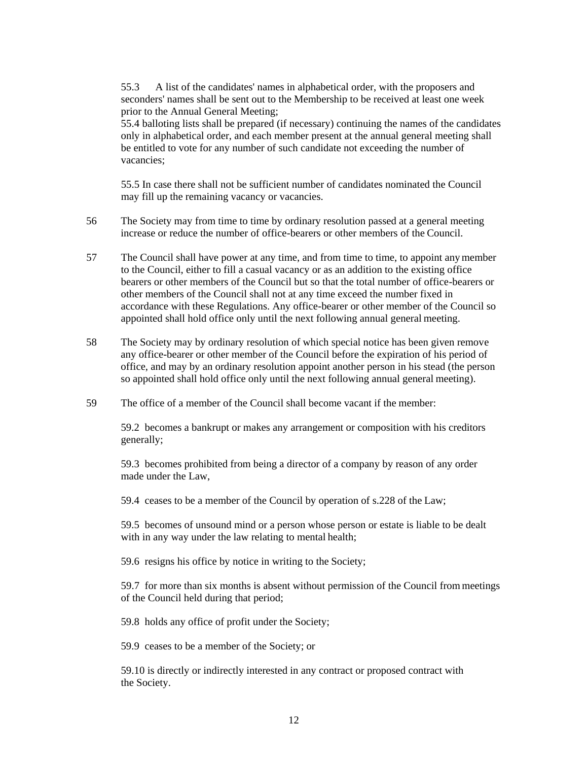55.3 A list of the candidates' names in alphabetical order, with the proposers and seconders' names shall be sent out to the Membership to be received at least one week prior to the Annual General Meeting;

55.4 balloting lists shall be prepared (if necessary) continuing the names of the candidates only in alphabetical order, and each member present at the annual general meeting shall be entitled to vote for any number of such candidate not exceeding the number of vacancies;

55.5 In case there shall not be sufficient number of candidates nominated the Council may fill up the remaining vacancy or vacancies.

- 56 The Society may from time to time by ordinary resolution passed at a general meeting increase or reduce the number of office-bearers or other members of the Council.
- 57 The Council shall have power at any time, and from time to time, to appoint any member to the Council, either to fill a casual vacancy or as an addition to the existing office bearers or other members of the Council but so that the total number of office-bearers or other members of the Council shall not at any time exceed the number fixed in accordance with these Regulations. Any office-bearer or other member of the Council so appointed shall hold office only until the next following annual general meeting.
- 58 The Society may by ordinary resolution of which special notice has been given remove any office-bearer or other member of the Council before the expiration of his period of office, and may by an ordinary resolution appoint another person in his stead (the person so appointed shall hold office only until the next following annual general meeting).
- 59 The office of a member of the Council shall become vacant if the member:

59.2 becomes a bankrupt or makes any arrangement or composition with his creditors generally;

59.3 becomes prohibited from being a director of a company by reason of any order made under the Law,

59.4 ceases to be a member of the Council by operation of s.228 of the Law;

59.5 becomes of unsound mind or a person whose person or estate is liable to be dealt with in any way under the law relating to mental health;

59.6 resigns his office by notice in writing to the Society;

59.7 for more than six months is absent without permission of the Council from meetings of the Council held during that period;

59.8 holds any office of profit under the Society;

59.9 ceases to be a member of the Society; or

59.10 is directly or indirectly interested in any contract or proposed contract with the Society.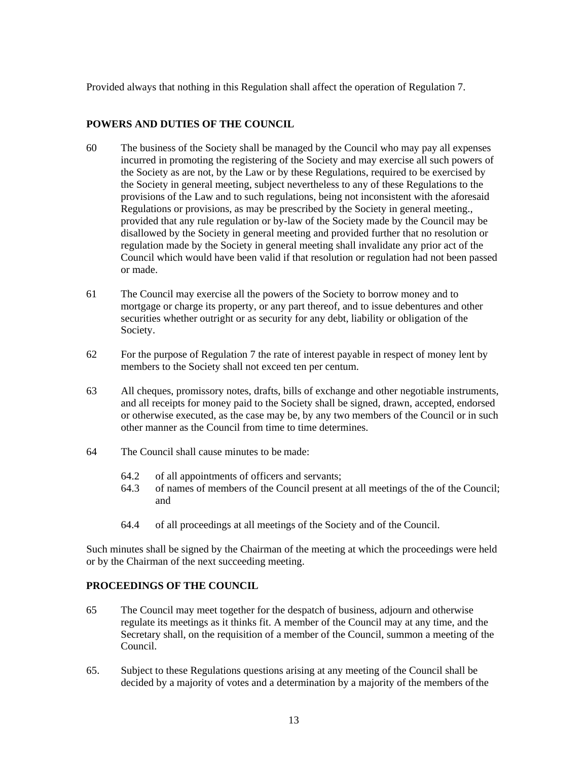Provided always that nothing in this Regulation shall affect the operation of Regulation 7.

#### <span id="page-12-0"></span>**POWERS AND DUTIES OF THE COUNCIL**

- 60 The business of the Society shall be managed by the Council who may pay all expenses incurred in promoting the registering of the Society and may exercise all such powers of the Society as are not, by the Law or by these Regulations, required to be exercised by the Society in general meeting, subject nevertheless to any of these Regulations to the provisions of the Law and to such regulations, being not inconsistent with the aforesaid Regulations or provisions, as may be prescribed by the Society in general meeting., provided that any rule regulation or by-law of the Society made by the Council may be disallowed by the Society in general meeting and provided further that no resolution or regulation made by the Society in general meeting shall invalidate any prior act of the Council which would have been valid if that resolution or regulation had not been passed or made.
- 61 The Council may exercise all the powers of the Society to borrow money and to mortgage or charge its property, or any part thereof, and to issue debentures and other securities whether outright or as security for any debt, liability or obligation of the Society.
- 62 For the purpose of Regulation 7 the rate of interest payable in respect of money lent by members to the Society shall not exceed ten per centum.
- 63 All cheques, promissory notes, drafts, bills of exchange and other negotiable instruments, and all receipts for money paid to the Society shall be signed, drawn, accepted, endorsed or otherwise executed, as the case may be, by any two members of the Council or in such other manner as the Council from time to time determines.
- 64 The Council shall cause minutes to be made:
	- 64.2 of all appointments of officers and servants;
	- 64.3 of names of members of the Council present at all meetings of the of the Council; and
	- 64.4 of all proceedings at all meetings of the Society and of the Council.

Such minutes shall be signed by the Chairman of the meeting at which the proceedings were held or by the Chairman of the next succeeding meeting.

#### <span id="page-12-1"></span>**PROCEEDINGS OF THE COUNCIL**

- 65 The Council may meet together for the despatch of business, adjourn and otherwise regulate its meetings as it thinks fit. A member of the Council may at any time, and the Secretary shall, on the requisition of a member of the Council, summon a meeting of the Council.
- 65. Subject to these Regulations questions arising at any meeting of the Council shall be decided by a majority of votes and a determination by a majority of the members ofthe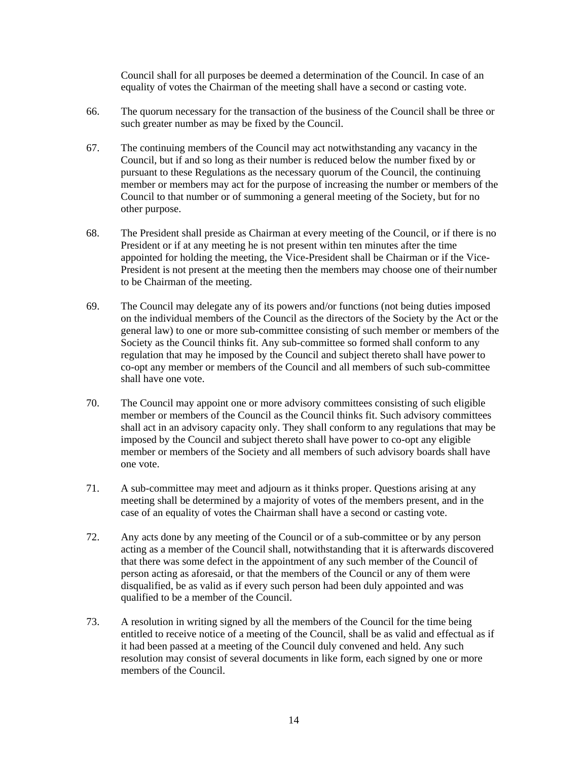Council shall for all purposes be deemed a determination of the Council. In case of an equality of votes the Chairman of the meeting shall have a second or casting vote.

- 66. The quorum necessary for the transaction of the business of the Council shall be three or such greater number as may be fixed by the Council.
- 67. The continuing members of the Council may act notwithstanding any vacancy in the Council, but if and so long as their number is reduced below the number fixed by or pursuant to these Regulations as the necessary quorum of the Council, the continuing member or members may act for the purpose of increasing the number or members of the Council to that number or of summoning a general meeting of the Society, but for no other purpose.
- 68. The President shall preside as Chairman at every meeting of the Council, or if there is no President or if at any meeting he is not present within ten minutes after the time appointed for holding the meeting, the Vice-President shall be Chairman or if the Vice-President is not present at the meeting then the members may choose one of their number to be Chairman of the meeting.
- 69. The Council may delegate any of its powers and/or functions (not being duties imposed on the individual members of the Council as the directors of the Society by the Act or the general law) to one or more sub-committee consisting of such member or members of the Society as the Council thinks fit. Any sub-committee so formed shall conform to any regulation that may he imposed by the Council and subject thereto shall have power to co-opt any member or members of the Council and all members of such sub-committee shall have one vote.
- 70. The Council may appoint one or more advisory committees consisting of such eligible member or members of the Council as the Council thinks fit. Such advisory committees shall act in an advisory capacity only. They shall conform to any regulations that may be imposed by the Council and subject thereto shall have power to co-opt any eligible member or members of the Society and all members of such advisory boards shall have one vote.
- 71. A sub-committee may meet and adjourn as it thinks proper. Questions arising at any meeting shall be determined by a majority of votes of the members present, and in the case of an equality of votes the Chairman shall have a second or casting vote.
- 72. Any acts done by any meeting of the Council or of a sub-committee or by any person acting as a member of the Council shall, notwithstanding that it is afterwards discovered that there was some defect in the appointment of any such member of the Council of person acting as aforesaid, or that the members of the Council or any of them were disqualified, be as valid as if every such person had been duly appointed and was qualified to be a member of the Council.
- 73. A resolution in writing signed by all the members of the Council for the time being entitled to receive notice of a meeting of the Council, shall be as valid and effectual as if it had been passed at a meeting of the Council duly convened and held. Any such resolution may consist of several documents in like form, each signed by one or more members of the Council.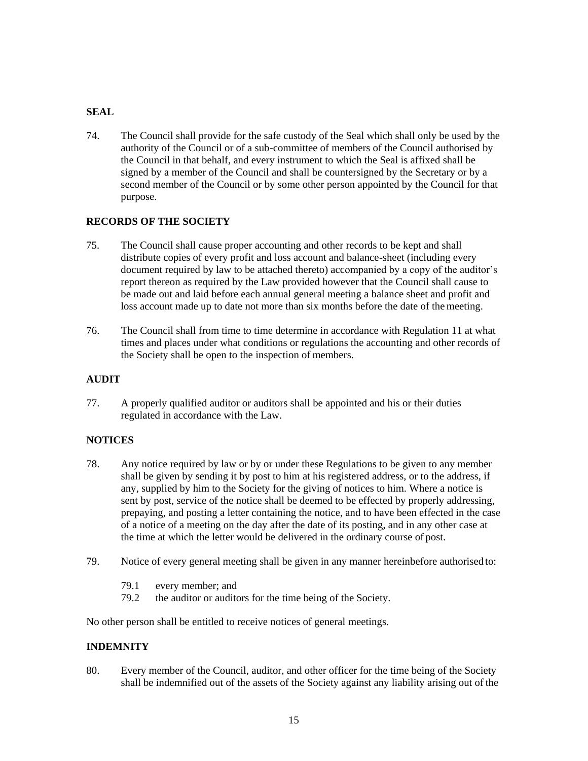### <span id="page-14-0"></span>**SEAL**

74. The Council shall provide for the safe custody of the Seal which shall only be used by the authority of the Council or of a sub-committee of members of the Council authorised by the Council in that behalf, and every instrument to which the Seal is affixed shall be signed by a member of the Council and shall be countersigned by the Secretary or by a second member of the Council or by some other person appointed by the Council for that purpose.

# <span id="page-14-1"></span>**RECORDS OF THE SOCIETY**

- 75. The Council shall cause proper accounting and other records to be kept and shall distribute copies of every profit and loss account and balance-sheet (including every document required by law to be attached thereto) accompanied by a copy of the auditor's report thereon as required by the Law provided however that the Council shall cause to be made out and laid before each annual general meeting a balance sheet and profit and loss account made up to date not more than six months before the date of themeeting.
- 76. The Council shall from time to time determine in accordance with Regulation 11 at what times and places under what conditions or regulations the accounting and other records of the Society shall be open to the inspection of members.

#### <span id="page-14-2"></span>**AUDIT**

77. A properly qualified auditor or auditors shall be appointed and his or their duties regulated in accordance with the Law.

# <span id="page-14-3"></span>**NOTICES**

- 78. Any notice required by law or by or under these Regulations to be given to any member shall be given by sending it by post to him at his registered address, or to the address, if any, supplied by him to the Society for the giving of notices to him. Where a notice is sent by post, service of the notice shall be deemed to be effected by properly addressing, prepaying, and posting a letter containing the notice, and to have been effected in the case of a notice of a meeting on the day after the date of its posting, and in any other case at the time at which the letter would be delivered in the ordinary course of post.
- 79. Notice of every general meeting shall be given in any manner hereinbefore authorised to:
	- 79.1 every member; and<br>79.2 the auditor or auditor
	- the auditor or auditors for the time being of the Society.

No other person shall be entitled to receive notices of general meetings.

#### <span id="page-14-4"></span>**INDEMNITY**

80. Every member of the Council, auditor, and other officer for the time being of the Society shall be indemnified out of the assets of the Society against any liability arising out of the